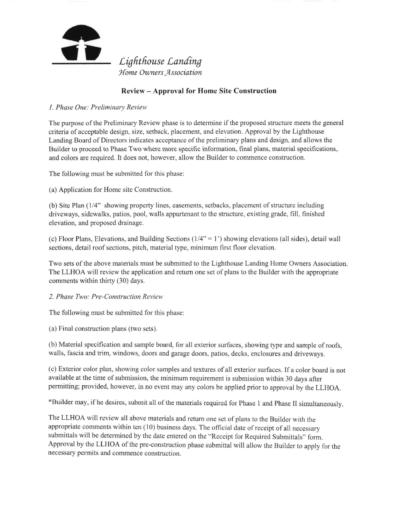

## Review - Approval for Home Site Construction

l. Phase One: Preliminary Review

The purpose ofthe Preliminary Review phase is to determine if the proposed structure meets the general criteria of acceptable design, size, setback, placement, and elevation. Approval by the Lighthouse Landing Board of Directors indicates acceptance of the preliminary plans and design, and allows the Builder to proceed to Phase Two where more specific information, final plans, material specifications, and colors are required. It does not, however, allow the Builder to commence construction.

The following must be submitted for this phase:

(a) Application for Home site Construction.

(b) Site Plan (1/4" showing property 1ines, easements, setbacks, placement of structure including driveways, sidewalks, patios, pool, walls appurtenant to the structure, existing grade, fill, finished elevation, and proposed drainage.

(c) Floor Plans, Elevations, and Building Sections  $(1/4" = 1)$  showing elevations (all sides), detail wall sections, detail roof sections, pitch, material type, minimum first floor elevation.

Two sets of the above materials must be submitted to the Lighthouse Landing Home Owners Association. The LLHOA will review the application and return one set of plans to the Builder with the appropriate comments within thirty (30) days.

2. Phase Two: Pre-Construction Review

The following must be submitted for this phase:

(a) Final construction plans (two sets).

(b) Material specification and sample board, for all exterior surfaces, showing type and sample of roofs, walls, fascia and trim, windows, doors and garage doors, patios, decks, enclosures and driveways.

(c) Exterior color plan, showing color samples and textures of all exterior surfaces. If a color board is not available at the time of submission, the minimum requirement is submission within 30 days after permitting; provided, however, in no event may any colors be applied prior to approval by the LLHOA.

+Builder may, if he desires, submit all of the materials required for Phase I and Phase II simultaneously.

The LLHOA will review all above materials and return one set of plans to the Builder with the appropriate comments within ten (10) business days. The official date of receipt of all necessary submittals will be determined by the date entered on the "Receipt for Required Submittals" form. Approval by the LLHOA of the pre-construction phase submittal will allow the Builder to apply for the necessary permits and commence consruction.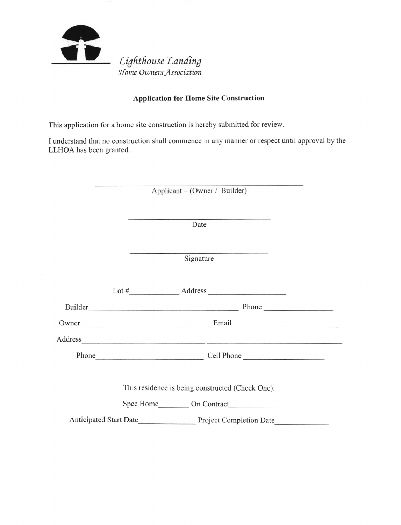

## **Application for Home Site Construction**

This application for a home site construction is hereby submitted for review.

I understand that no construction shall commence in any manner or respect until approval by the LLHOA has been granted.

| Applicant – (Owner / Builder) |  |
|-------------------------------|--|
|-------------------------------|--|

Date

Signature

|                                                  |                                                                                                                                                                                                                                               | Lot $\#$ $\qquad \qquad$ Address $\qquad \qquad$ Address $\qquad \qquad$                                                                                                                                                       |  |
|--------------------------------------------------|-----------------------------------------------------------------------------------------------------------------------------------------------------------------------------------------------------------------------------------------------|--------------------------------------------------------------------------------------------------------------------------------------------------------------------------------------------------------------------------------|--|
|                                                  |                                                                                                                                                                                                                                               | Phone                                                                                                                                                                                                                          |  |
|                                                  | Email <u>contract and the contract of the set of the contract of the set of the set of the set of the set of the set of the set of the set of the set of the set of the set of the set of the set of the set of the set of the s</u><br>Owner |                                                                                                                                                                                                                                |  |
|                                                  |                                                                                                                                                                                                                                               | Address and the contract of the contract of the contract of the contract of the contract of the contract of the contract of the contract of the contract of the contract of the contract of the contract of the contract of th |  |
|                                                  | Phone                                                                                                                                                                                                                                         | Cell Phone                                                                                                                                                                                                                     |  |
|                                                  |                                                                                                                                                                                                                                               |                                                                                                                                                                                                                                |  |
| This residence is being constructed (Check One): |                                                                                                                                                                                                                                               |                                                                                                                                                                                                                                |  |
|                                                  |                                                                                                                                                                                                                                               | Spec Home On Contract                                                                                                                                                                                                          |  |
|                                                  |                                                                                                                                                                                                                                               | Anticipated Start Date<br>Project Completion Date                                                                                                                                                                              |  |